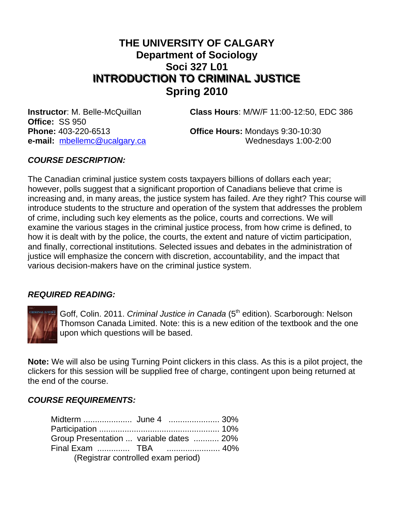# **THE UNIVERSITY OF CALGARY Department of Sociology Soci 327 L01 INTRODUCTION TO CRIMINAL JUSTICE INTRODUCTION TO CRIMINAL JUSTICE Spring 2010**

**Office:** SS 950

**Instructor**: M. Belle-McQuillan **Class Hours**: M/W/F 11:00-12:50, EDC 386

**Phone:** 403-220-6513 **Office Hours:** Mondays 9:30-10:30 **e-mail:** mbellemc@ucalgary.ca Wednesdays 1:00-2:00

### *COURSE DESCRIPTION:*

The Canadian criminal justice system costs taxpayers billions of dollars each year; however, polls suggest that a significant proportion of Canadians believe that crime is increasing and, in many areas, the justice system has failed. Are they right? This course will introduce students to the structure and operation of the system that addresses the problem of crime, including such key elements as the police, courts and corrections. We will examine the various stages in the criminal justice process, from how crime is defined, to how it is dealt with by the police, the courts, the extent and nature of victim participation, and finally, correctional institutions. Selected issues and debates in the administration of justice will emphasize the concern with discretion, accountability, and the impact that various decision-makers have on the criminal justice system.

#### *REQUIRED READING:*



Goff, Colin. 2011. *Criminal Justice in Canada* (5<sup>th</sup> edition). Scarborough: Nelson Thomson Canada Limited. Note: this is a new edition of the textbook and the one upon which questions will be based.

**Note:** We will also be using Turning Point clickers in this class. As this is a pilot project, the clickers for this session will be supplied free of charge, contingent upon being returned at the end of the course.

#### *COURSE REQUIREMENTS:*

| Group Presentation  variable dates  20% |  |  |  |  |
|-----------------------------------------|--|--|--|--|
|                                         |  |  |  |  |
| (Registrar controlled exam period)      |  |  |  |  |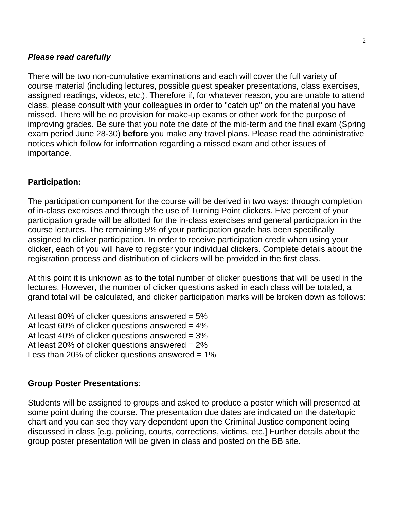### *Please read carefully*

There will be two non-cumulative examinations and each will cover the full variety of course material (including lectures, possible guest speaker presentations, class exercises, assigned readings, videos, etc.). Therefore if, for whatever reason, you are unable to attend class, please consult with your colleagues in order to "catch up" on the material you have missed. There will be no provision for make-up exams or other work for the purpose of improving grades. Be sure that you note the date of the mid-term and the final exam (Spring exam period June 28-30) **before** you make any travel plans. Please read the administrative notices which follow for information regarding a missed exam and other issues of importance.

### **Participation:**

The participation component for the course will be derived in two ways: through completion of in-class exercises and through the use of Turning Point clickers. Five percent of your participation grade will be allotted for the in-class exercises and general participation in the course lectures. The remaining 5% of your participation grade has been specifically assigned to clicker participation. In order to receive participation credit when using your clicker, each of you will have to register your individual clickers. Complete details about the registration process and distribution of clickers will be provided in the first class.

At this point it is unknown as to the total number of clicker questions that will be used in the lectures. However, the number of clicker questions asked in each class will be totaled, a grand total will be calculated, and clicker participation marks will be broken down as follows:

At least 80% of clicker questions answered  $= 5\%$ At least 60% of clicker questions answered  $= 4\%$ At least 40% of clicker questions answered  $= 3\%$ At least 20% of clicker questions answered = 2% Less than 20% of clicker questions answered  $= 1\%$ 

#### **Group Poster Presentations**:

Students will be assigned to groups and asked to produce a poster which will presented at some point during the course. The presentation due dates are indicated on the date/topic chart and you can see they vary dependent upon the Criminal Justice component being discussed in class [e.g. policing, courts, corrections, victims, etc.] Further details about the group poster presentation will be given in class and posted on the BB site.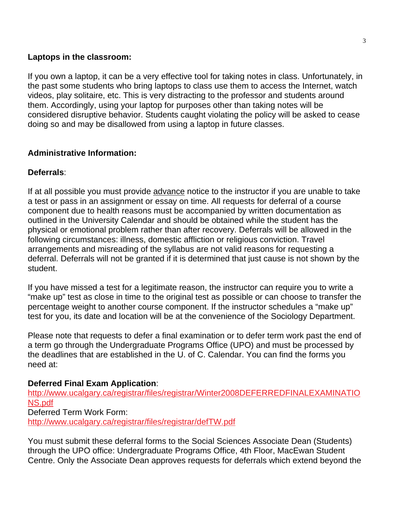### **Laptops in the classroom:**

If you own a laptop, it can be a very effective tool for taking notes in class. Unfortunately, in the past some students who bring laptops to class use them to access the Internet, watch videos, play solitaire, etc. This is very distracting to the professor and students around them. Accordingly, using your laptop for purposes other than taking notes will be considered disruptive behavior. Students caught violating the policy will be asked to cease doing so and may be disallowed from using a laptop in future classes.

# **Administrative Information:**

# **Deferrals**:

If at all possible you must provide advance notice to the instructor if you are unable to take a test or pass in an assignment or essay on time. All requests for deferral of a course component due to health reasons must be accompanied by written documentation as outlined in the University Calendar and should be obtained while the student has the physical or emotional problem rather than after recovery. Deferrals will be allowed in the following circumstances: illness, domestic affliction or religious conviction. Travel arrangements and misreading of the syllabus are not valid reasons for requesting a deferral. Deferrals will not be granted if it is determined that just cause is not shown by the student.

If you have missed a test for a legitimate reason, the instructor can require you to write a "make up" test as close in time to the original test as possible or can choose to transfer the percentage weight to another course component. If the instructor schedules a "make up" test for you, its date and location will be at the convenience of the Sociology Department.

Please note that requests to defer a final examination or to defer term work past the end of a term go through the Undergraduate Programs Office (UPO) and must be processed by the deadlines that are established in the U. of C. Calendar. You can find the forms you need at:

# **Deferred Final Exam Application**:

http://www.ucalgary.ca/registrar/files/registrar/Winter2008DEFERREDFINALEXAMINATIO NS.pdf Deferred Term Work Form: http://www.ucalgary.ca/registrar/files/registrar/defTW.pdf

You must submit these deferral forms to the Social Sciences Associate Dean (Students) through the UPO office: Undergraduate Programs Office, 4th Floor, MacEwan Student Centre. Only the Associate Dean approves requests for deferrals which extend beyond the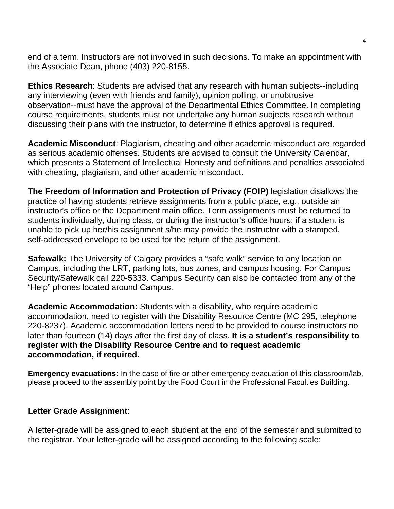end of a term. Instructors are not involved in such decisions. To make an appointment with the Associate Dean, phone (403) 220-8155.

**Ethics Research**: Students are advised that any research with human subjects--including any interviewing (even with friends and family), opinion polling, or unobtrusive observation--must have the approval of the Departmental Ethics Committee. In completing course requirements, students must not undertake any human subjects research without discussing their plans with the instructor, to determine if ethics approval is required.

**Academic Misconduct**: Plagiarism, cheating and other academic misconduct are regarded as serious academic offenses. Students are advised to consult the University Calendar, which presents a Statement of Intellectual Honesty and definitions and penalties associated with cheating, plagiarism, and other academic misconduct.

**The Freedom of Information and Protection of Privacy (FOIP)** legislation disallows the practice of having students retrieve assignments from a public place, e.g., outside an instructor's office or the Department main office. Term assignments must be returned to students individually, during class, or during the instructor's office hours; if a student is unable to pick up her/his assignment s/he may provide the instructor with a stamped, self-addressed envelope to be used for the return of the assignment.

**Safewalk:** The University of Calgary provides a "safe walk" service to any location on Campus, including the LRT, parking lots, bus zones, and campus housing. For Campus Security/Safewalk call 220-5333. Campus Security can also be contacted from any of the "Help" phones located around Campus.

**Academic Accommodation:** Students with a disability, who require academic accommodation, need to register with the Disability Resource Centre (MC 295, telephone 220-8237). Academic accommodation letters need to be provided to course instructors no later than fourteen (14) days after the first day of class. **It is a student's responsibility to register with the Disability Resource Centre and to request academic accommodation, if required.**

**Emergency evacuations:** In the case of fire or other emergency evacuation of this classroom/lab, please proceed to the assembly point by the Food Court in the Professional Faculties Building.

#### **Letter Grade Assignment**:

A letter-grade will be assigned to each student at the end of the semester and submitted to the registrar. Your letter-grade will be assigned according to the following scale: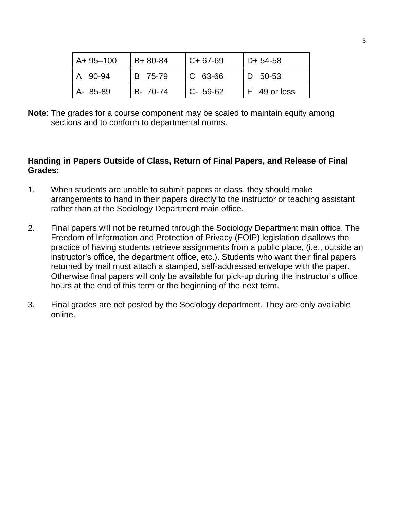| LA+ 95-100  | B+80-84  | l C+ 67-69     | $D+ 54-58$   |
|-------------|----------|----------------|--------------|
| A 90-94     | B 75-79  | $\mid$ C 63-66 | D 50-53      |
| $ A-85-89 $ | B- 70-74 | $C - 59-62$    | F 49 or less |

**Note**: The grades for a course component may be scaled to maintain equity among sections and to conform to departmental norms.

### **Handing in Papers Outside of Class, Return of Final Papers, and Release of Final Grades:**

- 1. When students are unable to submit papers at class, they should make arrangements to hand in their papers directly to the instructor or teaching assistant rather than at the Sociology Department main office.
- 2. Final papers will not be returned through the Sociology Department main office. The Freedom of Information and Protection of Privacy (FOIP) legislation disallows the practice of having students retrieve assignments from a public place, (i.e., outside an instructor's office, the department office, etc.). Students who want their final papers returned by mail must attach a stamped, self-addressed envelope with the paper. Otherwise final papers will only be available for pick-up during the instructor's office hours at the end of this term or the beginning of the next term.
- 3. Final grades are not posted by the Sociology department. They are only available online.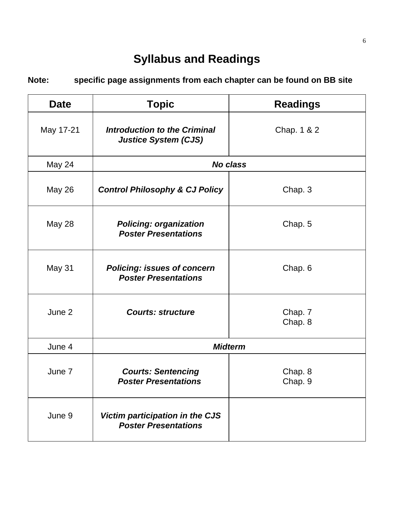# **Syllabus and Readings**

**Note: specific page assignments from each chapter can be found on BB site**

| <b>Date</b>   | <b>Topic</b>                                                      | <b>Readings</b>    |  |
|---------------|-------------------------------------------------------------------|--------------------|--|
| May 17-21     | Introduction to the Criminal<br><b>Justice System (CJS)</b>       | Chap. 1 & 2        |  |
| May 24        | <b>No class</b>                                                   |                    |  |
| May 26        | <b>Control Philosophy &amp; CJ Policy</b>                         | Chap. 3            |  |
| <b>May 28</b> | <b>Policing: organization</b><br><b>Poster Presentations</b>      | Chap. 5            |  |
| May 31        | <b>Policing: issues of concern</b><br><b>Poster Presentations</b> | Chap. 6            |  |
| June 2        | <b>Courts: structure</b>                                          | Chap. 7<br>Chap. 8 |  |
| June 4        | <b>Midterm</b>                                                    |                    |  |
| June 7        | <b>Courts: Sentencing</b><br><b>Poster Presentations</b>          | Chap. 8<br>Chap. 9 |  |
| June 9        | Victim participation in the CJS<br><b>Poster Presentations</b>    |                    |  |